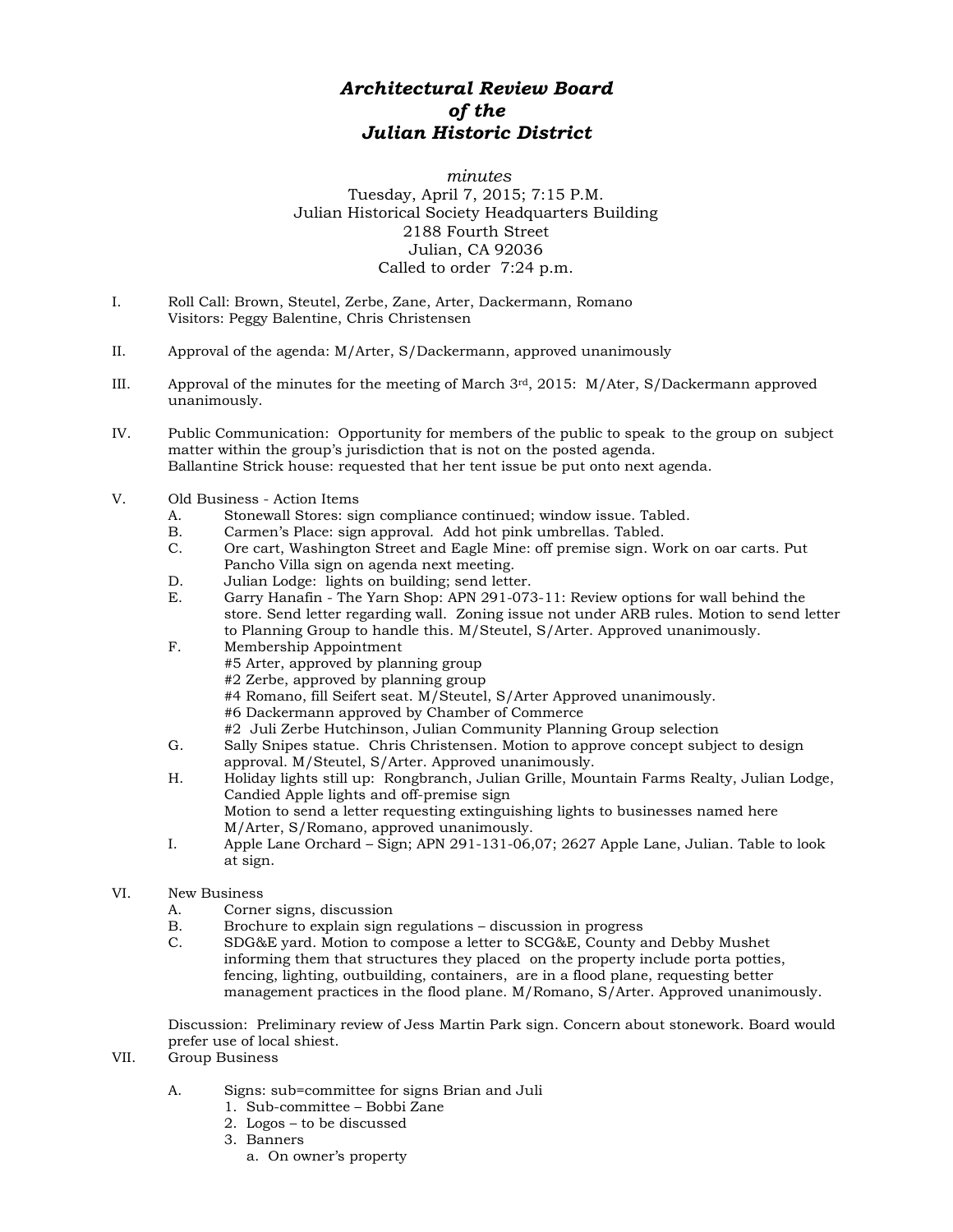## *Architectural Review Board of the Julian Historic District*

*minutes* Tuesday, April 7, 2015; 7:15 P.M. Julian Historical Society Headquarters Building 2188 Fourth Street Julian, CA 92036 Called to order 7:24 p.m.

- I. Roll Call: Brown, Steutel, Zerbe, Zane, Arter, Dackermann, Romano Visitors: Peggy Balentine, Chris Christensen
- II. Approval of the agenda: M/Arter, S/Dackermann, approved unanimously
- III. Approval of the minutes for the meeting of March 3rd, 2015: M/Ater, S/Dackermann approved unanimously.
- IV. Public Communication: Opportunity for members of the public to speak to the group on subject matter within the group's jurisdiction that is not on the posted agenda. Ballantine Strick house: requested that her tent issue be put onto next agenda.
- V. Old Business Action Items
	- A. Stonewall Stores: sign compliance continued; window issue. Tabled.
	- B. Carmen's Place: sign approval. Add hot pink umbrellas. Tabled.<br>C. Ore cart. Washington Street and Eagle Mine: off premise sign. We
	- Ore cart, Washington Street and Eagle Mine: off premise sign. Work on oar carts. Put Pancho Villa sign on agenda next meeting.
	- D. Julian Lodge: lights on building; send letter.
	- E. Garry Hanafin The Yarn Shop: APN 291-073-11: Review options for wall behind the store. Send letter regarding wall. Zoning issue not under ARB rules. Motion to send letter to Planning Group to handle this. M/Steutel, S/Arter. Approved unanimously.
	- F. Membership Appointment #5 Arter, approved by planning group #2 Zerbe, approved by planning group #4 Romano, fill Seifert seat. M/Steutel, S/Arter Approved unanimously.
		- #6 Dackermann approved by Chamber of Commerce
		- #2 Juli Zerbe Hutchinson, Julian Community Planning Group selection
	- G. Sally Snipes statue. Chris Christensen. Motion to approve concept subject to design approval. M/Steutel, S/Arter. Approved unanimously.
	- H. Holiday lights still up: Rongbranch, Julian Grille, Mountain Farms Realty, Julian Lodge, Candied Apple lights and off-premise sign Motion to send a letter requesting extinguishing lights to businesses named here M/Arter, S/Romano, approved unanimously.
	- I. Apple Lane Orchard Sign; APN 291-131-06,07; 2627 Apple Lane, Julian. Table to look at sign.
- VI. New Business
	- A. Corner signs, discussion
	- B. Brochure to explain sign regulations discussion in progress<br>C. SDG&E vard. Motion to compose a letter to SCG&E. County a
	- SDG&E yard. Motion to compose a letter to SCG&E, County and Debby Mushet informing them that structures they placed on the property include porta potties, fencing, lighting, outbuilding, containers, are in a flood plane, requesting better management practices in the flood plane. M/Romano, S/Arter. Approved unanimously.

Discussion: Preliminary review of Jess Martin Park sign. Concern about stonework. Board would prefer use of local shiest.

- VII. Group Business
	- A. Signs: sub=committee for signs Brian and Juli
		- 1. Sub-committee Bobbi Zane
		- 2. Logos to be discussed
		- 3. Banners
			- a. On owner's property